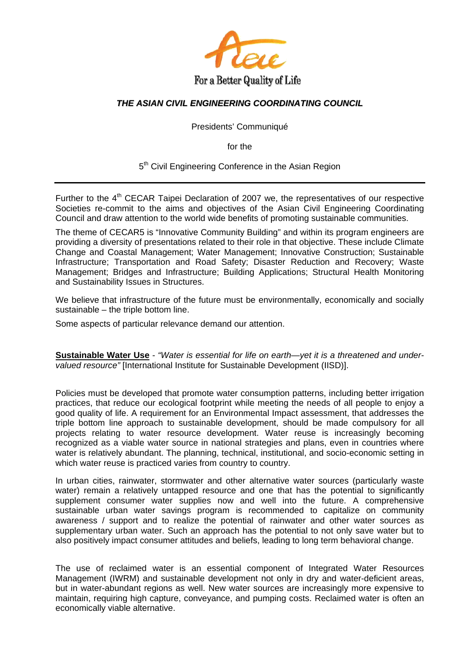

## *THE ASIAN CIVIL ENGINEERING COORDINATING COUNCIL*

Presidents' Communiqué

for the

5<sup>th</sup> Civil Engineering Conference in the Asian Region

Further to the  $4<sup>th</sup>$  CECAR Taipei Declaration of 2007 we, the representatives of our respective Societies re-commit to the aims and objectives of the Asian Civil Engineering Coordinating Council and draw attention to the world wide benefits of promoting sustainable communities.

The theme of CECAR5 is "Innovative Community Building" and within its program engineers are providing a diversity of presentations related to their role in that objective. These include Climate Change and Coastal Management; Water Management; Innovative Construction; Sustainable Infrastructure; Transportation and Road Safety; Disaster Reduction and Recovery; Waste Management; Bridges and Infrastructure; Building Applications; Structural Health Monitoring and Sustainability Issues in Structures.

We believe that infrastructure of the future must be environmentally, economically and socially sustainable – the triple bottom line.

Some aspects of particular relevance demand our attention.

**Sustainable Water Use** - *"Water is essential for life on earth—yet it is a threatened and undervalued resource"* [International Institute for Sustainable Development (IISD)].

Policies must be developed that promote water consumption patterns, including better irrigation practices, that reduce our ecological footprint while meeting the needs of all people to enjoy a good quality of life. A requirement for an Environmental Impact assessment, that addresses the triple bottom line approach to sustainable development, should be made compulsory for all projects relating to water resource development. Water reuse is increasingly becoming recognized as a viable water source in national strategies and plans, even in countries where water is relatively abundant. The planning, technical, institutional, and socio-economic setting in which water reuse is practiced varies from country to country.

In urban cities, rainwater, stormwater and other alternative water sources (particularly waste water) remain a relatively untapped resource and one that has the potential to significantly supplement consumer water supplies now and well into the future. A comprehensive sustainable urban water savings program is recommended to capitalize on community awareness / support and to realize the potential of rainwater and other water sources as supplementary urban water. Such an approach has the potential to not only save water but to also positively impact consumer attitudes and beliefs, leading to long term behavioral change.

The use of reclaimed water is an essential component of Integrated Water Resources Management (IWRM) and sustainable development not only in dry and water-deficient areas, but in water-abundant regions as well. New water sources are increasingly more expensive to maintain, requiring high capture, conveyance, and pumping costs. Reclaimed water is often an economically viable alternative.